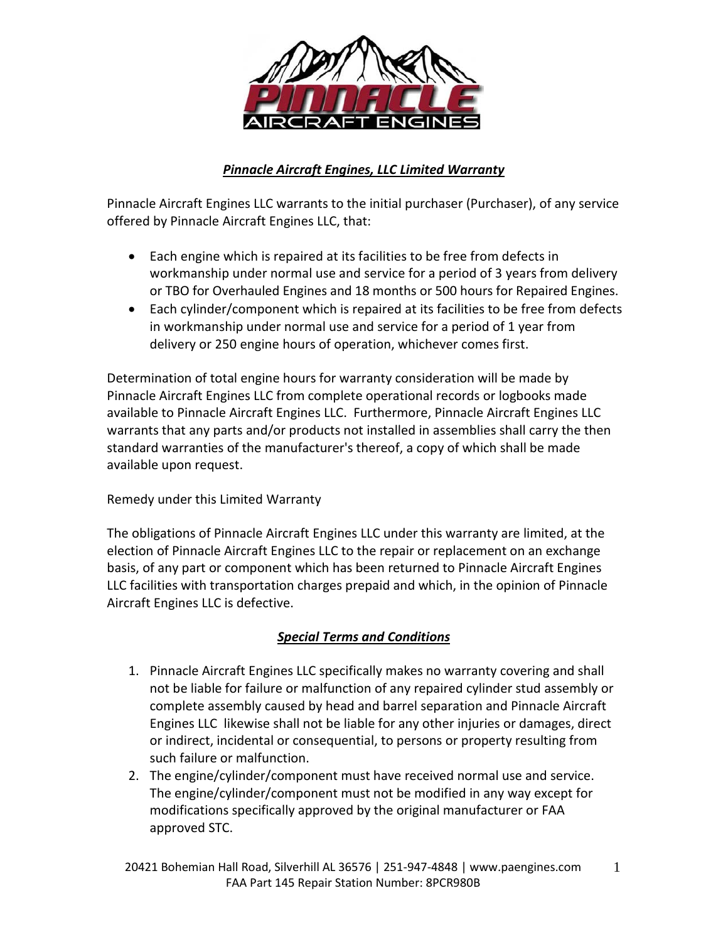

## *Pinnacle Aircraft Engines, LLC Limited Warranty*

Pinnacle Aircraft Engines LLC warrants to the initial purchaser (Purchaser), of any service offered by Pinnacle Aircraft Engines LLC, that:

- Each engine which is repaired at its facilities to be free from defects in workmanship under normal use and service for a period of 3 years from delivery or TBO for Overhauled Engines and 18 months or 500 hours for Repaired Engines.
- Each cylinder/component which is repaired at its facilities to be free from defects in workmanship under normal use and service for a period of 1 year from delivery or 250 engine hours of operation, whichever comes first.

Determination of total engine hours for warranty consideration will be made by Pinnacle Aircraft Engines LLC from complete operational records or logbooks made available to Pinnacle Aircraft Engines LLC. Furthermore, Pinnacle Aircraft Engines LLC warrants that any parts and/or products not installed in assemblies shall carry the then standard warranties of the manufacturer's thereof, a copy of which shall be made available upon request.

## Remedy under this Limited Warranty

The obligations of Pinnacle Aircraft Engines LLC under this warranty are limited, at the election of Pinnacle Aircraft Engines LLC to the repair or replacement on an exchange basis, of any part or component which has been returned to Pinnacle Aircraft Engines LLC facilities with transportation charges prepaid and which, in the opinion of Pinnacle Aircraft Engines LLC is defective.

## *Special Terms and Conditions*

- 1. Pinnacle Aircraft Engines LLC specifically makes no warranty covering and shall not be liable for failure or malfunction of any repaired cylinder stud assembly or complete assembly caused by head and barrel separation and Pinnacle Aircraft Engines LLC likewise shall not be liable for any other injuries or damages, direct or indirect, incidental or consequential, to persons or property resulting from such failure or malfunction.
- 2. The engine/cylinder/component must have received normal use and service. The engine/cylinder/component must not be modified in any way except for modifications specifically approved by the original manufacturer or FAA approved STC.

1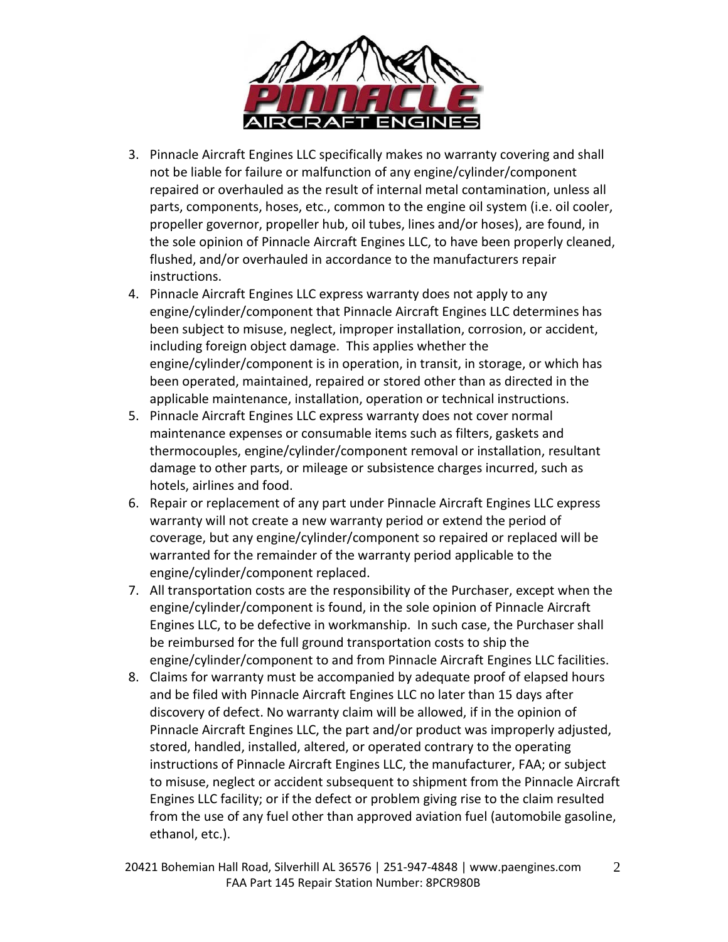

- 3. Pinnacle Aircraft Engines LLC specifically makes no warranty covering and shall not be liable for failure or malfunction of any engine/cylinder/component repaired or overhauled as the result of internal metal contamination, unless all parts, components, hoses, etc., common to the engine oil system (i.e. oil cooler, propeller governor, propeller hub, oil tubes, lines and/or hoses), are found, in the sole opinion of Pinnacle Aircraft Engines LLC, to have been properly cleaned, flushed, and/or overhauled in accordance to the manufacturers repair instructions.
- 4. Pinnacle Aircraft Engines LLC express warranty does not apply to any engine/cylinder/component that Pinnacle Aircraft Engines LLC determines has been subject to misuse, neglect, improper installation, corrosion, or accident, including foreign object damage. This applies whether the engine/cylinder/component is in operation, in transit, in storage, or which has been operated, maintained, repaired or stored other than as directed in the applicable maintenance, installation, operation or technical instructions.
- 5. Pinnacle Aircraft Engines LLC express warranty does not cover normal maintenance expenses or consumable items such as filters, gaskets and thermocouples, engine/cylinder/component removal or installation, resultant damage to other parts, or mileage or subsistence charges incurred, such as hotels, airlines and food.
- 6. Repair or replacement of any part under Pinnacle Aircraft Engines LLC express warranty will not create a new warranty period or extend the period of coverage, but any engine/cylinder/component so repaired or replaced will be warranted for the remainder of the warranty period applicable to the engine/cylinder/component replaced.
- 7. All transportation costs are the responsibility of the Purchaser, except when the engine/cylinder/component is found, in the sole opinion of Pinnacle Aircraft Engines LLC, to be defective in workmanship. In such case, the Purchaser shall be reimbursed for the full ground transportation costs to ship the engine/cylinder/component to and from Pinnacle Aircraft Engines LLC facilities.
- 8. Claims for warranty must be accompanied by adequate proof of elapsed hours and be filed with Pinnacle Aircraft Engines LLC no later than 15 days after discovery of defect. No warranty claim will be allowed, if in the opinion of Pinnacle Aircraft Engines LLC, the part and/or product was improperly adjusted, stored, handled, installed, altered, or operated contrary to the operating instructions of Pinnacle Aircraft Engines LLC, the manufacturer, FAA; or subject to misuse, neglect or accident subsequent to shipment from the Pinnacle Aircraft Engines LLC facility; or if the defect or problem giving rise to the claim resulted from the use of any fuel other than approved aviation fuel (automobile gasoline, ethanol, etc.).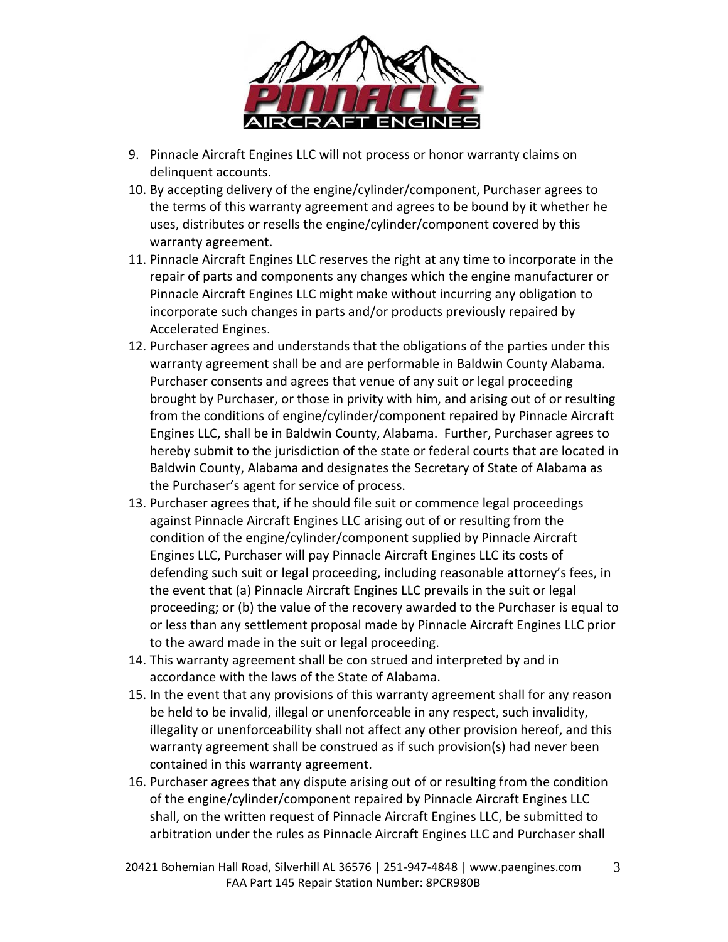

- 9. Pinnacle Aircraft Engines LLC will not process or honor warranty claims on delinquent accounts.
- 10. By accepting delivery of the engine/cylinder/component, Purchaser agrees to the terms of this warranty agreement and agrees to be bound by it whether he uses, distributes or resells the engine/cylinder/component covered by this warranty agreement.
- 11. Pinnacle Aircraft Engines LLC reserves the right at any time to incorporate in the repair of parts and components any changes which the engine manufacturer or Pinnacle Aircraft Engines LLC might make without incurring any obligation to incorporate such changes in parts and/or products previously repaired by Accelerated Engines.
- 12. Purchaser agrees and understands that the obligations of the parties under this warranty agreement shall be and are performable in Baldwin County Alabama. Purchaser consents and agrees that venue of any suit or legal proceeding brought by Purchaser, or those in privity with him, and arising out of or resulting from the conditions of engine/cylinder/component repaired by Pinnacle Aircraft Engines LLC, shall be in Baldwin County, Alabama. Further, Purchaser agrees to hereby submit to the jurisdiction of the state or federal courts that are located in Baldwin County, Alabama and designates the Secretary of State of Alabama as the Purchaser's agent for service of process.
- 13. Purchaser agrees that, if he should file suit or commence legal proceedings against Pinnacle Aircraft Engines LLC arising out of or resulting from the condition of the engine/cylinder/component supplied by Pinnacle Aircraft Engines LLC, Purchaser will pay Pinnacle Aircraft Engines LLC its costs of defending such suit or legal proceeding, including reasonable attorney's fees, in the event that (a) Pinnacle Aircraft Engines LLC prevails in the suit or legal proceeding; or (b) the value of the recovery awarded to the Purchaser is equal to or less than any settlement proposal made by Pinnacle Aircraft Engines LLC prior to the award made in the suit or legal proceeding.
- 14. This warranty agreement shall be con strued and interpreted by and in accordance with the laws of the State of Alabama.
- 15. In the event that any provisions of this warranty agreement shall for any reason be held to be invalid, illegal or unenforceable in any respect, such invalidity, illegality or unenforceability shall not affect any other provision hereof, and this warranty agreement shall be construed as if such provision(s) had never been contained in this warranty agreement.
- 16. Purchaser agrees that any dispute arising out of or resulting from the condition of the engine/cylinder/component repaired by Pinnacle Aircraft Engines LLC shall, on the written request of Pinnacle Aircraft Engines LLC, be submitted to arbitration under the rules as Pinnacle Aircraft Engines LLC and Purchaser shall

20421 Bohemian Hall Road, Silverhill AL 36576 | 251-947-4848 | www.paengines.com FAA Part 145 Repair Station Number: 8PCR980B 3